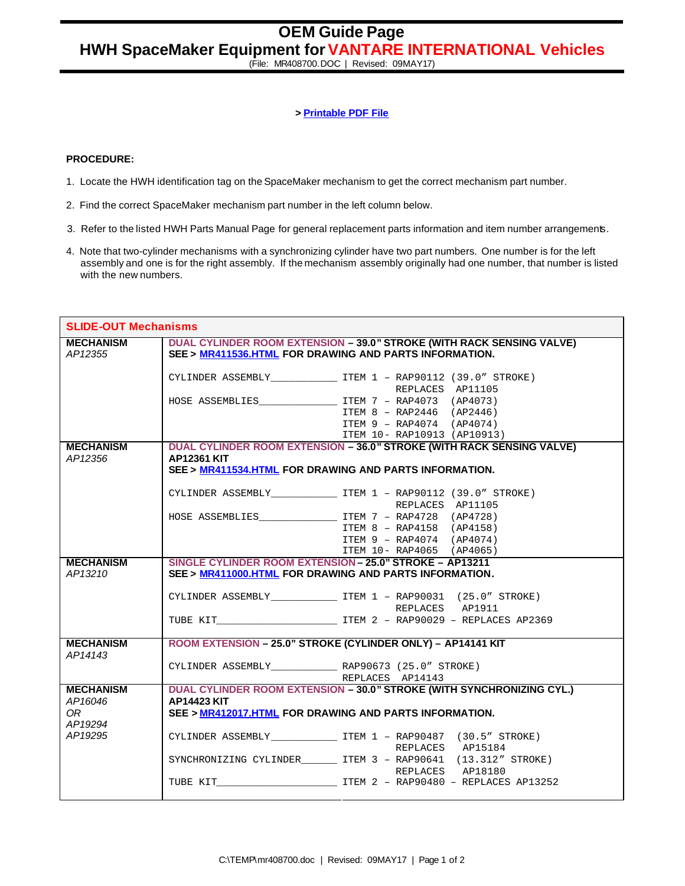(File: MR408700.DOC | Revised: 09MAY17)

## **> Printable PDF File**

## **PROCEDURE:**

- 1. Locate the HWH identification tag on the SpaceMaker mechanism to get the correct mechanism part number.
- 2. Find the correct SpaceMaker mechanism part number in the left column below.
- 3. Refer to the listed HWH Parts Manual Page for general replacement parts information and item number arrangements.
- 4. Note that two-cylinder mechanisms with a synchronizing cylinder have two part numbers. One number is for the left assembly and one is for the right assembly. If the mechanism assembly originally had one number, that number is listed with the new numbers.

| <b>SLIDE-OUT Mechanisms</b> |                                                         |                                                                                             |
|-----------------------------|---------------------------------------------------------|---------------------------------------------------------------------------------------------|
| <b>MECHANISM</b>            |                                                         | <b>DUAL CYLINDER ROOM EXTENSION - 39.0" STROKE (WITH RACK SENSING VALVE)</b>                |
| AP12355                     | SEE > MR411536.HTML FOR DRAWING AND PARTS INFORMATION.  |                                                                                             |
|                             |                                                         | CYLINDER ASSEMBLY TEM 1 - RAP90112 (39.0" STROKE)                                           |
|                             |                                                         | REPLACES AP11105                                                                            |
|                             |                                                         |                                                                                             |
|                             |                                                         | ITEM 8 - RAP2446 (AP2446)                                                                   |
|                             |                                                         | ITEM 9 - RAP4074 (AP4074)                                                                   |
|                             |                                                         | ITEM 10- RAP10913 (AP10913)                                                                 |
| <b>MECHANISM</b>            |                                                         | DUAL CYLINDER ROOM EXTENSION - 36.0" STROKE (WITH RACK SENSING VALVE)                       |
| AP12356                     | <b>AP12361 KIT</b>                                      |                                                                                             |
|                             | SEE > MR411534.HTML FOR DRAWING AND PARTS INFORMATION.  |                                                                                             |
|                             |                                                         |                                                                                             |
|                             |                                                         | CYLINDER ASSEMBLY ____________________ ITEM 1 - RAP90112 (39.0" STROKE)<br>REPLACES AP11105 |
|                             |                                                         |                                                                                             |
|                             |                                                         | ITEM 8 - RAP4158 (AP4158)                                                                   |
|                             |                                                         | ITEM 9 - RAP4074 (AP4074)                                                                   |
|                             |                                                         | ITEM 10- RAP4065 (AP4065)                                                                   |
| <b>MECHANISM</b>            | SINGLE CYLINDER ROOM EXTENSION - 25.0" STROKE - AP13211 |                                                                                             |
| AP13210                     | SEE > MR411000.HTML FOR DRAWING AND PARTS INFORMATION.  |                                                                                             |
|                             |                                                         |                                                                                             |
|                             |                                                         | CYLINDER ASSEMBLY ________________ ITEM 1 - RAP90031 (25.0" STROKE)                         |
|                             |                                                         | REPLACES AP1911                                                                             |
|                             |                                                         |                                                                                             |
| <b>MECHANISM</b>            |                                                         | ROOM EXTENSION - 25.0" STROKE (CYLINDER ONLY) - AP14141 KIT                                 |
| AP14143                     |                                                         |                                                                                             |
|                             |                                                         |                                                                                             |
|                             |                                                         | REPLACES AP14143                                                                            |
| <b>MECHANISM</b>            |                                                         | DUAL CYLINDER ROOM EXTENSION - 30.0" STROKE (WITH SYNCHRONIZING CYL.)                       |
| AP16046                     | <b>AP14423 KIT</b>                                      |                                                                                             |
| OR.                         | SEE > MR412017.HTML FOR DRAWING AND PARTS INFORMATION.  |                                                                                             |
| AP19294                     |                                                         |                                                                                             |
| AP19295                     |                                                         | CYLINDER ASSEMBLY TTEM 1 - RAP90487 (30.5" STROKE)                                          |
|                             |                                                         | REPLACES AP15184                                                                            |
|                             |                                                         | SYNCHRONIZING CYLINDER _______ ITEM 3 - RAP90641 (13.312" STROKE)                           |
|                             |                                                         | REPLACES AP18180                                                                            |
|                             |                                                         |                                                                                             |
|                             |                                                         |                                                                                             |